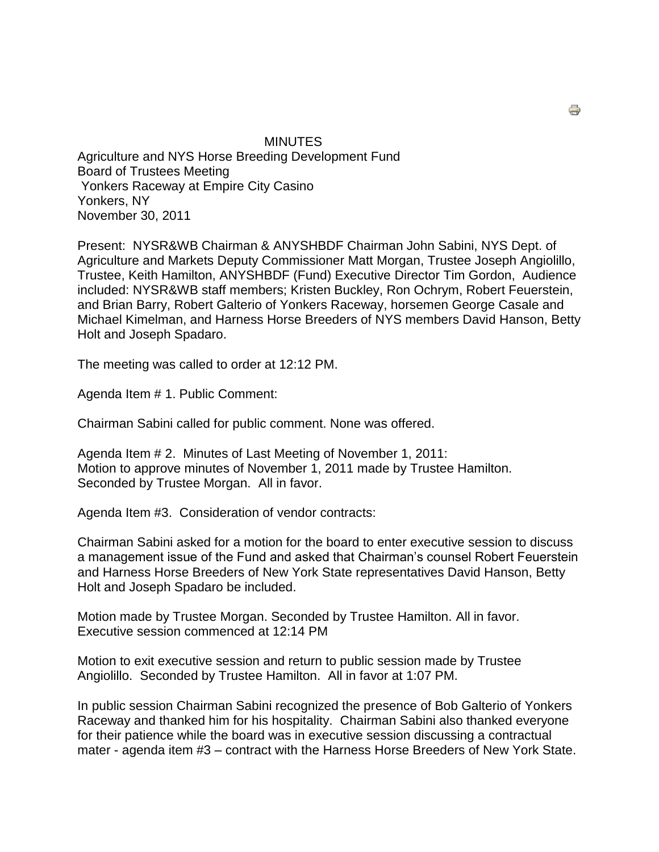MINUTES Agriculture and NYS Horse Breeding Development Fund Board of Trustees Meeting Yonkers Raceway at Empire City Casino Yonkers, NY November 30, 2011

Present: NYSR&WB Chairman & ANYSHBDF Chairman John Sabini, NYS Dept. of Agriculture and Markets Deputy Commissioner Matt Morgan, Trustee Joseph Angiolillo, Trustee, Keith Hamilton, ANYSHBDF (Fund) Executive Director Tim Gordon, Audience included: NYSR&WB staff members; Kristen Buckley, Ron Ochrym, Robert Feuerstein, and Brian Barry, Robert Galterio of Yonkers Raceway, horsemen George Casale and Michael Kimelman, and Harness Horse Breeders of NYS members David Hanson, Betty Holt and Joseph Spadaro.

The meeting was called to order at 12:12 PM.

Agenda Item # 1. Public Comment:

Chairman Sabini called for public comment. None was offered.

Agenda Item # 2. Minutes of Last Meeting of November 1, 2011: Motion to approve minutes of November 1, 2011 made by Trustee Hamilton. Seconded by Trustee Morgan. All in favor.

Agenda Item #3. Consideration of vendor contracts:

Chairman Sabini asked for a motion for the board to enter executive session to discuss a management issue of the Fund and asked that Chairman's counsel Robert Feuerstein and Harness Horse Breeders of New York State representatives David Hanson, Betty Holt and Joseph Spadaro be included.

Motion made by Trustee Morgan. Seconded by Trustee Hamilton. All in favor. Executive session commenced at 12:14 PM

Motion to exit executive session and return to public session made by Trustee Angiolillo. Seconded by Trustee Hamilton. All in favor at 1:07 PM.

In public session Chairman Sabini recognized the presence of Bob Galterio of Yonkers Raceway and thanked him for his hospitality. Chairman Sabini also thanked everyone for their patience while the board was in executive session discussing a contractual mater - agenda item #3 – contract with the Harness Horse Breeders of New York State.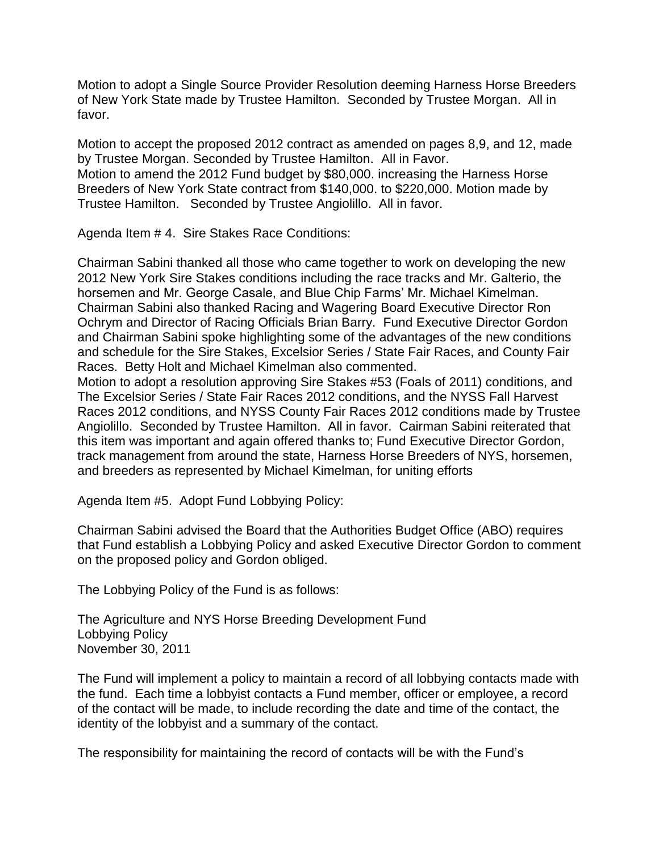Motion to adopt a Single Source Provider Resolution deeming Harness Horse Breeders of New York State made by Trustee Hamilton. Seconded by Trustee Morgan. All in favor.

Motion to accept the proposed 2012 contract as amended on pages 8,9, and 12, made by Trustee Morgan. Seconded by Trustee Hamilton. All in Favor. Motion to amend the 2012 Fund budget by \$80,000. increasing the Harness Horse Breeders of New York State contract from \$140,000. to \$220,000. Motion made by Trustee Hamilton. Seconded by Trustee Angiolillo. All in favor.

Agenda Item # 4. Sire Stakes Race Conditions:

Chairman Sabini thanked all those who came together to work on developing the new 2012 New York Sire Stakes conditions including the race tracks and Mr. Galterio, the horsemen and Mr. George Casale, and Blue Chip Farms' Mr. Michael Kimelman. Chairman Sabini also thanked Racing and Wagering Board Executive Director Ron Ochrym and Director of Racing Officials Brian Barry. Fund Executive Director Gordon and Chairman Sabini spoke highlighting some of the advantages of the new conditions and schedule for the Sire Stakes, Excelsior Series / State Fair Races, and County Fair Races. Betty Holt and Michael Kimelman also commented.

Motion to adopt a resolution approving Sire Stakes #53 (Foals of 2011) conditions, and The Excelsior Series / State Fair Races 2012 conditions, and the NYSS Fall Harvest Races 2012 conditions, and NYSS County Fair Races 2012 conditions made by Trustee Angiolillo. Seconded by Trustee Hamilton. All in favor. Cairman Sabini reiterated that this item was important and again offered thanks to; Fund Executive Director Gordon, track management from around the state, Harness Horse Breeders of NYS, horsemen, and breeders as represented by Michael Kimelman, for uniting efforts

Agenda Item #5. Adopt Fund Lobbying Policy:

Chairman Sabini advised the Board that the Authorities Budget Office (ABO) requires that Fund establish a Lobbying Policy and asked Executive Director Gordon to comment on the proposed policy and Gordon obliged.

The Lobbying Policy of the Fund is as follows:

The Agriculture and NYS Horse Breeding Development Fund Lobbying Policy November 30, 2011

The Fund will implement a policy to maintain a record of all lobbying contacts made with the fund. Each time a lobbyist contacts a Fund member, officer or employee, a record of the contact will be made, to include recording the date and time of the contact, the identity of the lobbyist and a summary of the contact.

The responsibility for maintaining the record of contacts will be with the Fund's